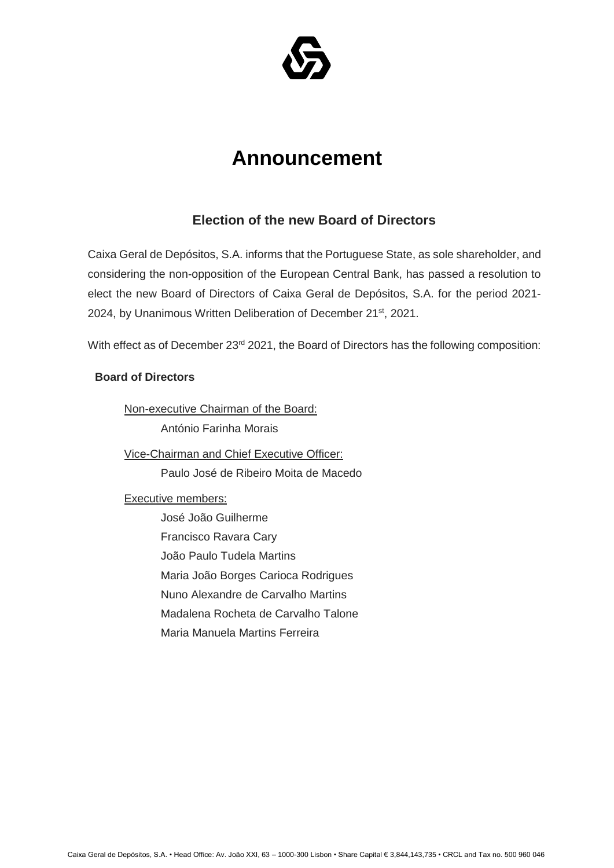

## **Announcement**

## **Election of the new Board of Directors**

Caixa Geral de Depósitos, S.A. informs that the Portuguese State, as sole shareholder, and considering the non-opposition of the European Central Bank, has passed a resolution to elect the new Board of Directors of Caixa Geral de Depósitos, S.A. for the period 2021- 2024, by Unanimous Written Deliberation of December 21<sup>st</sup>, 2021.

With effect as of December 23<sup>rd</sup> 2021, the Board of Directors has the following composition:

## **Board of Directors**

Non-executive Chairman of the Board: António Farinha Morais

Vice-Chairman and Chief Executive Officer:

Paulo José de Ribeiro Moita de Macedo

Executive members:

José João Guilherme Francisco Ravara Cary João Paulo Tudela Martins Maria João Borges Carioca Rodrigues Nuno Alexandre de Carvalho Martins Madalena Rocheta de Carvalho Talone Maria Manuela Martins Ferreira